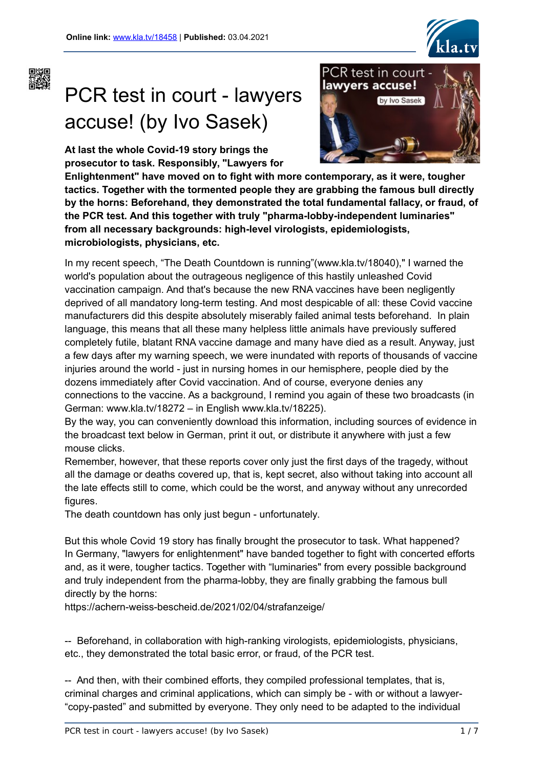



# PCR test in court - lawyers accuse! (by Ivo Sasek)

**At last the whole Covid-19 story brings the prosecutor to task. Responsibly, "Lawyers for**



**Enlightenment" have moved on to fight with more contemporary, as it were, tougher tactics. Together with the tormented people they are grabbing the famous bull directly by the horns: Beforehand, they demonstrated the total fundamental fallacy, or fraud, of the PCR test. And this together with truly "pharma-lobby-independent luminaries" from all necessary backgrounds: high-level virologists, epidemiologists, microbiologists, physicians, etc.**

In my recent speech, "The Death Countdown is running"(www.kla.tv/18040)," I warned the world's population about the outrageous negligence of this hastily unleashed Covid vaccination campaign. And that's because the new RNA vaccines have been negligently deprived of all mandatory long-term testing. And most despicable of all: these Covid vaccine manufacturers did this despite absolutely miserably failed animal tests beforehand. In plain language, this means that all these many helpless little animals have previously suffered completely futile, blatant RNA vaccine damage and many have died as a result. Anyway, just a few days after my warning speech, we were inundated with reports of thousands of vaccine injuries around the world - just in nursing homes in our hemisphere, people died by the dozens immediately after Covid vaccination. And of course, everyone denies any connections to the vaccine. As a background, I remind you again of these two broadcasts (in German: www.kla.tv/18272 – in English www.kla.tv/18225).

By the way, you can conveniently download this information, including sources of evidence in the broadcast text below in German, print it out, or distribute it anywhere with just a few mouse clicks.

Remember, however, that these reports cover only just the first days of the tragedy, without all the damage or deaths covered up, that is, kept secret, also without taking into account all the late effects still to come, which could be the worst, and anyway without any unrecorded figures.

The death countdown has only just begun - unfortunately.

But this whole Covid 19 story has finally brought the prosecutor to task. What happened? In Germany, "lawyers for enlightenment" have banded together to fight with concerted efforts and, as it were, tougher tactics. Together with "luminaries" from every possible background and truly independent from the pharma-lobby, they are finally grabbing the famous bull directly by the horns:

https://achern-weiss-bescheid.de/2021/02/04/strafanzeige/

-- Beforehand, in collaboration with high-ranking virologists, epidemiologists, physicians, etc., they demonstrated the total basic error, or fraud, of the PCR test.

-- And then, with their combined efforts, they compiled professional templates, that is, criminal charges and criminal applications, which can simply be - with or without a lawyer- "copy-pasted" and submitted by everyone. They only need to be adapted to the individual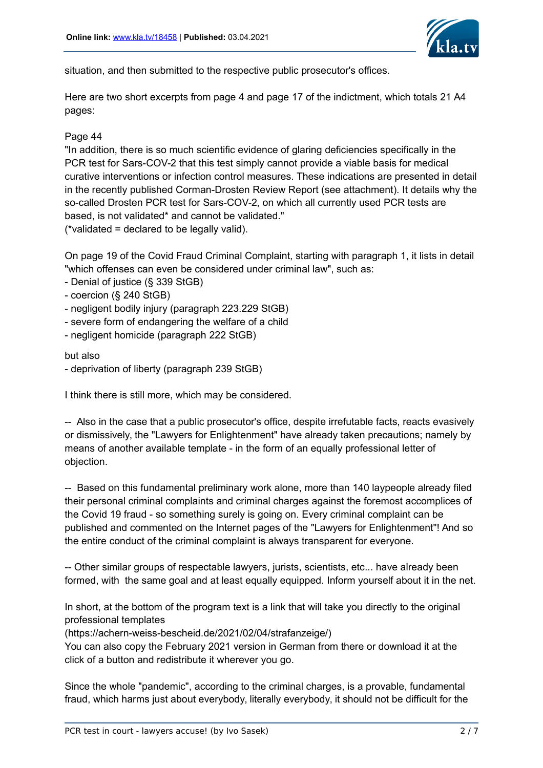

situation, and then submitted to the respective public prosecutor's offices.

Here are two short excerpts from page 4 and page 17 of the indictment, which totals 21 A4 pages:

# Page 44

"In addition, there is so much scientific evidence of glaring deficiencies specifically in the PCR test for Sars-COV-2 that this test simply cannot provide a viable basis for medical curative interventions or infection control measures. These indications are presented in detail in the recently published Corman-Drosten Review Report (see attachment). It details why the so-called Drosten PCR test for Sars-COV-2, on which all currently used PCR tests are based, is not validated\* and cannot be validated."

(\*validated = declared to be legally valid).

On page 19 of the Covid Fraud Criminal Complaint, starting with paragraph 1, it lists in detail "which offenses can even be considered under criminal law", such as:

- Denial of justice (§ 339 StGB)
- coercion (§ 240 StGB)
- negligent bodily injury (paragraph 223.229 StGB)
- severe form of endangering the welfare of a child
- negligent homicide (paragraph 222 StGB)

#### but also

- deprivation of liberty (paragraph 239 StGB)

I think there is still more, which may be considered.

-- Also in the case that a public prosecutor's office, despite irrefutable facts, reacts evasively or dismissively, the "Lawyers for Enlightenment" have already taken precautions; namely by means of another available template - in the form of an equally professional letter of objection.

-- Based on this fundamental preliminary work alone, more than 140 laypeople already filed their personal criminal complaints and criminal charges against the foremost accomplices of the Covid 19 fraud - so something surely is going on. Every criminal complaint can be published and commented on the Internet pages of the "Lawyers for Enlightenment"! And so the entire conduct of the criminal complaint is always transparent for everyone.

-- Other similar groups of respectable lawyers, jurists, scientists, etc... have already been formed, with the same goal and at least equally equipped. Inform yourself about it in the net.

In short, at the bottom of the program text is a link that will take you directly to the original professional templates

(https://achern-weiss-bescheid.de/2021/02/04/strafanzeige/)

You can also copy the February 2021 version in German from there or download it at the click of a button and redistribute it wherever you go.

Since the whole "pandemic", according to the criminal charges, is a provable, fundamental fraud, which harms just about everybody, literally everybody, it should not be difficult for the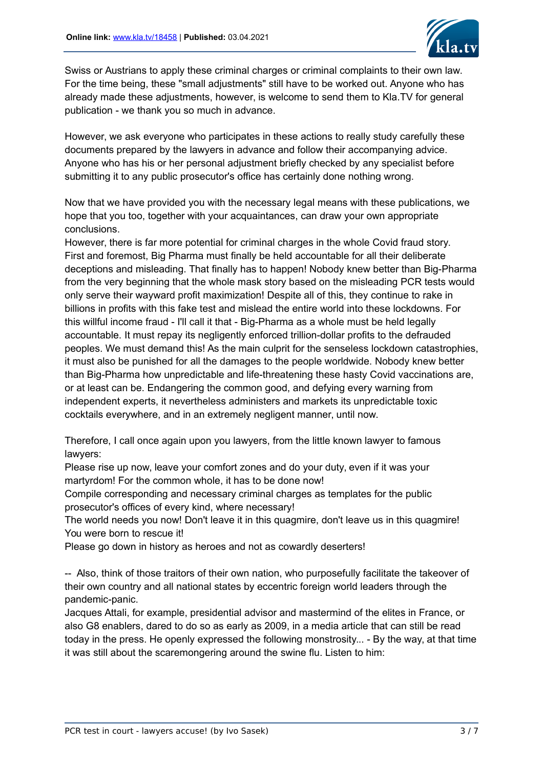

Swiss or Austrians to apply these criminal charges or criminal complaints to their own law. For the time being, these "small adjustments" still have to be worked out. Anyone who has already made these adjustments, however, is welcome to send them to Kla.TV for general publication - we thank you so much in advance.

However, we ask everyone who participates in these actions to really study carefully these documents prepared by the lawyers in advance and follow their accompanying advice. Anyone who has his or her personal adjustment briefly checked by any specialist before submitting it to any public prosecutor's office has certainly done nothing wrong.

Now that we have provided you with the necessary legal means with these publications, we hope that you too, together with your acquaintances, can draw your own appropriate conclusions.

However, there is far more potential for criminal charges in the whole Covid fraud story. First and foremost, Big Pharma must finally be held accountable for all their deliberate deceptions and misleading. That finally has to happen! Nobody knew better than Big-Pharma from the very beginning that the whole mask story based on the misleading PCR tests would only serve their wayward profit maximization! Despite all of this, they continue to rake in billions in profits with this fake test and mislead the entire world into these lockdowns. For this willful income fraud - I'll call it that - Big-Pharma as a whole must be held legally accountable. It must repay its negligently enforced trillion-dollar profits to the defrauded peoples. We must demand this! As the main culprit for the senseless lockdown catastrophies, it must also be punished for all the damages to the people worldwide. Nobody knew better than Big-Pharma how unpredictable and life-threatening these hasty Covid vaccinations are, or at least can be. Endangering the common good, and defying every warning from independent experts, it nevertheless administers and markets its unpredictable toxic cocktails everywhere, and in an extremely negligent manner, until now.

Therefore, I call once again upon you lawyers, from the little known lawyer to famous lawyers:

Please rise up now, leave your comfort zones and do your duty, even if it was your martyrdom! For the common whole, it has to be done now!

Compile corresponding and necessary criminal charges as templates for the public prosecutor's offices of every kind, where necessary!

The world needs you now! Don't leave it in this quagmire, don't leave us in this quagmire! You were born to rescue it!

Please go down in history as heroes and not as cowardly deserters!

-- Also, think of those traitors of their own nation, who purposefully facilitate the takeover of their own country and all national states by eccentric foreign world leaders through the pandemic-panic.

Jacques Attali, for example, presidential advisor and mastermind of the elites in France, or also G8 enablers, dared to do so as early as 2009, in a media article that can still be read today in the press. He openly expressed the following monstrosity... - By the way, at that time it was still about the scaremongering around the swine flu. Listen to him: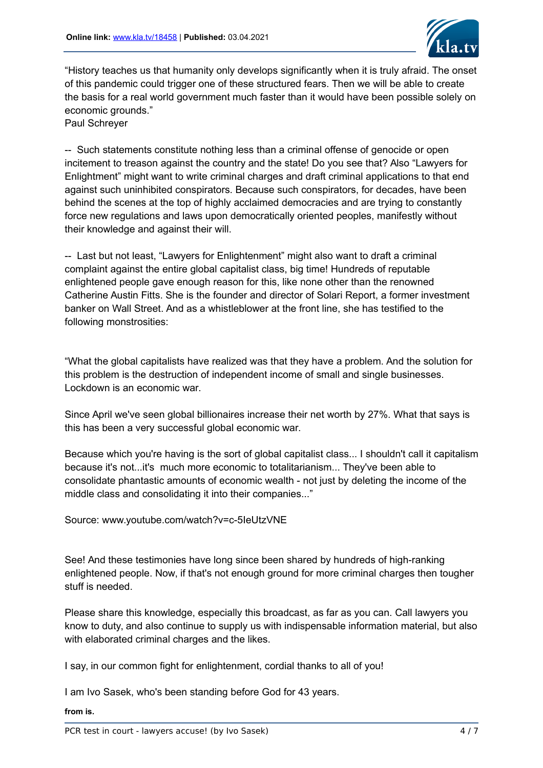

"History teaches us that humanity only develops significantly when it is truly afraid. The onset of this pandemic could trigger one of these structured fears. Then we will be able to create the basis for a real world government much faster than it would have been possible solely on economic grounds." Paul Schreyer

-- Such statements constitute nothing less than a criminal offense of genocide or open incitement to treason against the country and the state! Do you see that? Also "Lawyers for Enlightment" might want to write criminal charges and draft criminal applications to that end against such uninhibited conspirators. Because such conspirators, for decades, have been behind the scenes at the top of highly acclaimed democracies and are trying to constantly force new regulations and laws upon democratically oriented peoples, manifestly without their knowledge and against their will.

-- Last but not least, "Lawyers for Enlightenment" might also want to draft a criminal complaint against the entire global capitalist class, big time! Hundreds of reputable enlightened people gave enough reason for this, like none other than the renowned Catherine Austin Fitts. She is the founder and director of Solari Report, a former investment banker on Wall Street. And as a whistleblower at the front line, she has testified to the following monstrosities:

"What the global capitalists have realized was that they have a problem. And the solution for this problem is the destruction of independent income of small and single businesses. Lockdown is an economic war.

Since April we've seen global billionaires increase their net worth by 27%. What that says is this has been a very successful global economic war.

Because which you're having is the sort of global capitalist class... I shouldn't call it capitalism because it's not...it's much more economic to totalitarianism... They've been able to consolidate phantastic amounts of economic wealth - not just by deleting the income of the middle class and consolidating it into their companies..."

Source: www.youtube.com/watch?v=c-5IeUtzVNE

See! And these testimonies have long since been shared by hundreds of high-ranking enlightened people. Now, if that's not enough ground for more criminal charges then tougher stuff is needed.

Please share this knowledge, especially this broadcast, as far as you can. Call lawyers you know to duty, and also continue to supply us with indispensable information material, but also with elaborated criminal charges and the likes.

I say, in our common fight for enlightenment, cordial thanks to all of you!

I am Ivo Sasek, who's been standing before God for 43 years.

**from is.**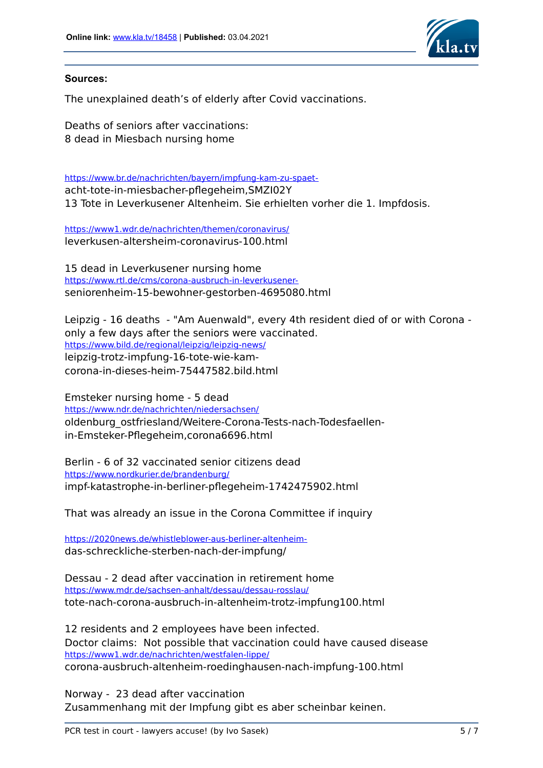

### **Sources:**

The unexplained death's of elderly after Covid vaccinations.

Deaths of seniors after vaccinations: 8 dead in Miesbach nursing home

[https://www.br.de/nachrichten/bayern/impfung-kam-zu-spaet](https://www.br.de/nachrichten/bayern/impfung-kam-zu-spaet-)acht-tote-in-miesbacher-pflegeheim,SMZI02Y 13 Tote in Leverkusener Altenheim. Sie erhielten vorher die 1. Impfdosis.

<https://www1.wdr.de/nachrichten/themen/coronavirus/> leverkusen-altersheim-coronavirus-100.html

15 dead in Leverkusener nursing home [https://www.rtl.de/cms/corona-ausbruch-in-leverkusener](https://www.rtl.de/cms/corona-ausbruch-in-leverkusener-)seniorenheim-15-bewohner-gestorben-4695080.html

Leipzig - 16 deaths - "Am Auenwald", every 4th resident died of or with Corona only a few days after the seniors were vaccinated. <https://www.bild.de/regional/leipzig/leipzig-news/> leipzig-trotz-impfung-16-tote-wie-kamcorona-in-dieses-heim-75447582.bild.html

Emsteker nursing home - 5 dead <https://www.ndr.de/nachrichten/niedersachsen/> oldenburg\_ostfriesland/Weitere-Corona-Tests-nach-Todesfaellenin-Emsteker-Pflegeheim,corona6696.html

Berlin - 6 of 32 vaccinated senior citizens dead <https://www.nordkurier.de/brandenburg/> impf-katastrophe-in-berliner-pflegeheim-1742475902.html

That was already an issue in the Corona Committee if inquiry

[https://2020news.de/whistleblower-aus-berliner-altenheim](https://2020news.de/whistleblower-aus-berliner-altenheim-)das-schreckliche-sterben-nach-der-impfung/

Dessau - 2 dead after vaccination in retirement home <https://www.mdr.de/sachsen-anhalt/dessau/dessau-rosslau/> tote-nach-corona-ausbruch-in-altenheim-trotz-impfung100.html

12 residents and 2 employees have been infected. Doctor claims: Not possible that vaccination could have caused disease <https://www1.wdr.de/nachrichten/westfalen-lippe/> corona-ausbruch-altenheim-roedinghausen-nach-impfung-100.html

Norway - 23 dead after vaccination Zusammenhang mit der Impfung gibt es aber scheinbar keinen.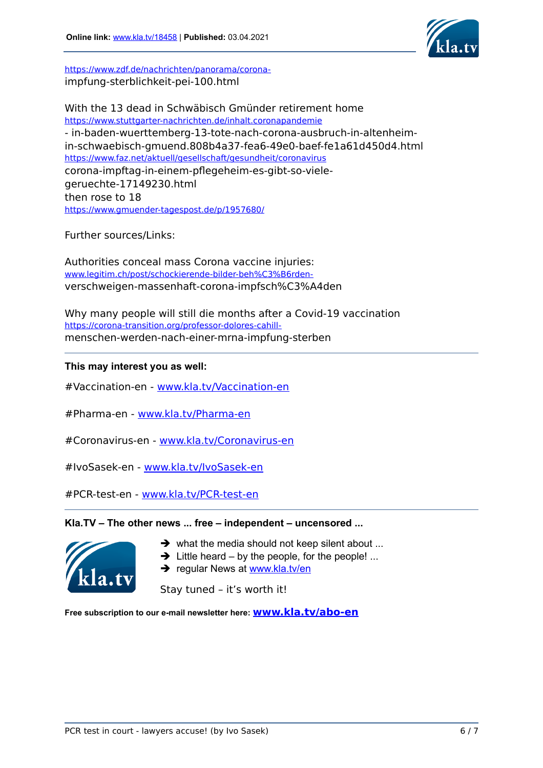

[https://www.zdf.de/nachrichten/panorama/corona](https://www.zdf.de/nachrichten/panorama/corona-)impfung-sterblichkeit-pei-100.html

With the 13 dead in Schwäbisch Gmünder retirement home <https://www.stuttgarter-nachrichten.de/inhalt.coronapandemie> - in-baden-wuerttemberg-13-tote-nach-corona-ausbruch-in-altenheimin-schwaebisch-gmuend.808b4a37-fea6-49e0-baef-fe1a61d450d4.html <https://www.faz.net/aktuell/gesellschaft/gesundheit/coronavirus> corona-impftag-in-einem-pflegeheim-es-gibt-so-vielegeruechte-17149230.html then rose to 18 <https://www.gmuender-tagespost.de/p/1957680/>

Further sources/Links:

Authorities conceal mass Corona vaccine injuries: [www.legitim.ch/post/schockierende-bilder-beh%C3%B6rden](https://www.legitim.ch/post/schockierende-bilder-beh%C3%B6rden-)verschweigen-massenhaft-corona-impfsch%C3%A4den

Why many people will still die months after a Covid-19 vaccination [https://corona-transition.org/professor-dolores-cahill](https://corona-transition.org/professor-dolores-cahill-)menschen-werden-nach-einer-mrna-impfung-sterben

# **This may interest you as well:**

#Vaccination-en - [www.kla.tv/Vaccination-en](https://www.kla.tv/Vaccination-en)

#Pharma-en - [www.kla.tv/Pharma-en](https://www.kla.tv/Pharma-en)

#Coronavirus-en - [www.kla.tv/Coronavirus-en](https://www.kla.tv/Coronavirus-en)

#IvoSasek-en - [www.kla.tv/IvoSasek-en](https://www.kla.tv/IvoSasek-en)

#PCR-test-en - [www.kla.tv/PCR-test-en](https://www.kla.tv/PCR-test-en)

### **Kla.TV – The other news ... free – independent – uncensored ...**



- $\rightarrow$  what the media should not keep silent about ...
- $\rightarrow$  Little heard by the people, for the people! ...
- $\rightarrow$  regular News at [www.kla.tv/en](https://www.kla.tv/en)

Stay tuned – it's worth it!

**Free subscription to our e-mail newsletter here: [www.kla.tv/abo-en](https://www.kla.tv/abo-en)**